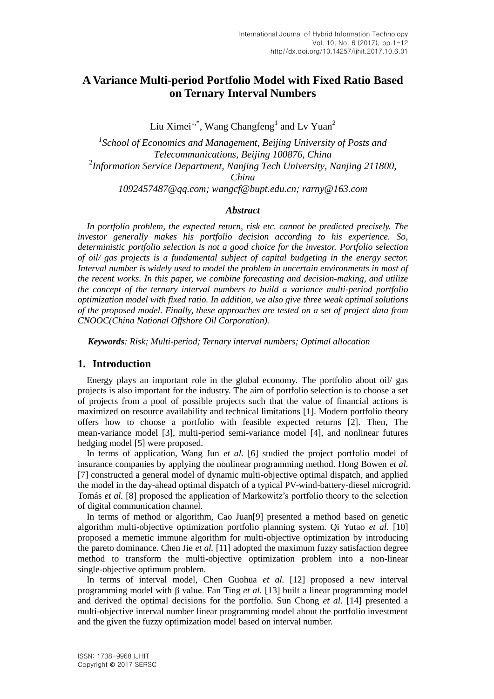# **A Variance Multi-period Portfolio Model with Fixed Ratio Based on Ternary Interval Numbers**

Liu Ximei<sup>1,\*</sup>, Wang Changfeng<sup>1</sup> and Lv Yuan<sup>2</sup>

*1 School of Economics and Management, Beijing University of Posts and Telecommunications, Beijing 100876, China* 2 *Information Service Department, Nanjing Tech University, Nanjing 211800, China [1092457487@qq.com;](mailto:1092457487@qq.com) [wangcf@bupt.edu.cn;](mailto:wangcf@bupt.edu.cn) rarny@163.com*

### *Abstract*

*In portfolio problem, the expected return, risk etc. cannot be predicted precisely. The investor generally makes his portfolio decision according to his experience. So, deterministic portfolio selection is not a good choice for the investor. Portfolio selection of oil/ gas projects is a fundamental subject of capital budgeting in the energy sector. Interval number is widely used to model the problem in uncertain environments in most of the recent works. In this paper, we combine forecasting and decision-making, and utilize the concept of the ternary interval numbers to build a variance multi-period portfolio optimization model with fixed ratio. In addition, we also give three weak optimal solutions of the proposed model. Finally, these approaches are tested on a set of project data from CNOOC(China National Offshore Oil Corporation).*

*Keywords: Risk; Multi-period; Ternary interval numbers; Optimal allocation*

### **1. Introduction**

Energy plays an important role in the global economy. The portfolio about oil/ gas projects is also important for the industry. The aim of portfolio selection is to choose a set of projects from a pool of possible projects such that the value of financial actions is maximized on resource availability and technical limitations [1]. Modern portfolio theory offers how to choose a portfolio with feasible expected returns [2]. Then, The mean-variance model [3], multi-period semi-variance model [4], and nonlinear futures hedging model [5] were proposed.

In terms of application, Wang Jun *et al.* [6] studied the project portfolio model of insurance companies by applying the nonlinear programming method. Hong Bowen *et al.* [7] constructed a general model of dynamic multi-objective optimal dispatch, and applied the model in the day-ahead optimal dispatch of a typical PV-wind-battery-diesel microgrid. Tomás *et al.* [8] proposed the application of Markowitz's portfolio theory to the selection of digital communication channel.

In terms of method or algorithm, Cao Juan[9] presented a method based on genetic algorithm multi-objective optimization portfolio planning system. Qi Yutao *et al.* [10] proposed a memetic immune algorithm for multi-objective optimization by introducing the pareto dominance. Chen Jie *et al.* [11] adopted the maximum fuzzy satisfaction degree method to transform the multi-objective optimization problem into a non-linear single-objective optimum problem.

In terms of interval model, Chen Guohua *et al.* [12] proposed a new interval programming model with β value. Fan Ting *et al.* [13] built a linear programming model and derived the optimal decisions for the portfolio. Sun Chong *et al.* [14] presented a multi-objective interval number linear programming model about the portfolio investment and the given the fuzzy optimization model based on interval number.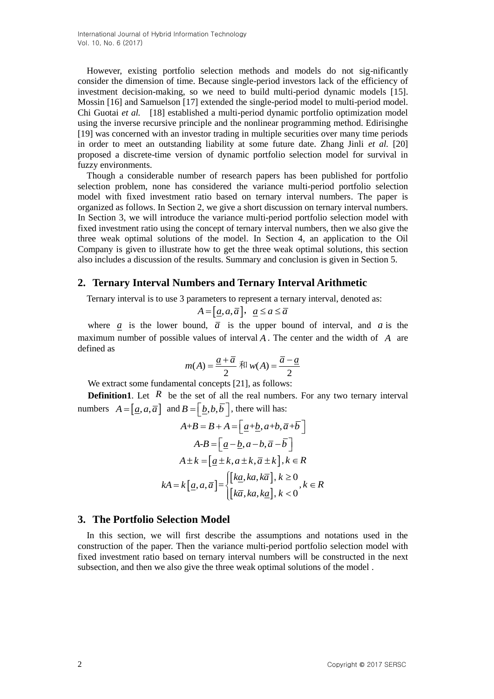However, existing portfolio selection methods and models do not sig-nificantly consider the dimension of time. Because single-period investors lack of the efficiency of investment decision-making, so we need to build multi-period dynamic models [15]. Mossin [16] and Samuelson [17] extended the single-period model to multi-period model. Chi Guotai *et al.* [18] established a multi-period dynamic portfolio optimization model using the inverse recursive principle and the nonlinear programming method. Edirisinghe [19] was concerned with an investor trading in multiple securities over many time periods in order to meet an outstanding liability at some future date. Zhang Jinli *et al.* [20] proposed a discrete-time version of dynamic portfolio selection model for survival in fuzzy environments.

Though a considerable number of research papers has been published for portfolio selection problem, none has considered the variance multi-period portfolio selection model with fixed investment ratio based on ternary interval numbers. The paper is organized as follows. In Section 2, we give a short discussion on ternary interval numbers. In Section 3, we will introduce the variance multi-period portfolio selection model with fixed investment ratio using the concept of ternary interval numbers, then we also give the three weak optimal solutions of the model. In Section 4, an application to the Oil Company is given to illustrate how to get the three weak optimal solutions, this section also includes a discussion of the results. Summary and conclusion is given in Section 5.

### **2. Ternary Interval Numbers and Ternary Interval Arithmetic**

Ternary interval is to use 3 parameters to represent a ternary interval, denoted as:<br> $A = [\underline{a}, a, \overline{a}], \ \ \underline{a} \le a \le \overline{a}$ 

$$
A = [\underline{a}, a, \overline{a}], \ \underline{a} \le a \le \overline{a}
$$

where  $\overline{a}$  is the lower bound,  $\overline{a}$  is the upper bound of interval, and  $\overline{a}$  is the maximum number of possible values of interval A. The center and the width of A are defined as

$$
m(A) = \frac{\underline{a} + \overline{a}}{2} \text{ } \overline{m} \text{ } w(A) = \frac{\overline{a} - \underline{a}}{2}
$$

We extract some fundamental concepts [21], as follows:

**Definition1**. Let  $\overline{R}$  be the set of all the real numbers. For any two ternary interval numbers  $A = [\underline{a}, a, \overline{a}]$  and  $B = [\underline{b}, b, \overline{b}]$ , there will has:

$$
A+B = B + A = \left[\underline{a} + \underline{b}, a+b, \overline{a} + \overline{b}\right]
$$

$$
A-B = \left[\underline{a} - \underline{b}, a-b, \overline{a} - \overline{b}\right]
$$

$$
A \pm k = \left[\underline{a} \pm k, a \pm k, \overline{a} \pm k\right], k \in R
$$

$$
kA = k\left[\underline{a}, a, \overline{a}\right] = \begin{cases} \left[k\underline{a}, ka, k\overline{a}\right], k \ge 0\\ \left[k\overline{a}, ka, k\underline{a}\right], k < 0 \end{cases}, k \in R
$$

#### **3. The Portfolio Selection Model**

In this section, we will first describe the assumptions and notations used in the construction of the paper. Then the variance multi-period portfolio selection model with fixed investment ratio based on ternary interval numbers will be constructed in the next subsection, and then we also give the three weak optimal solutions of the model .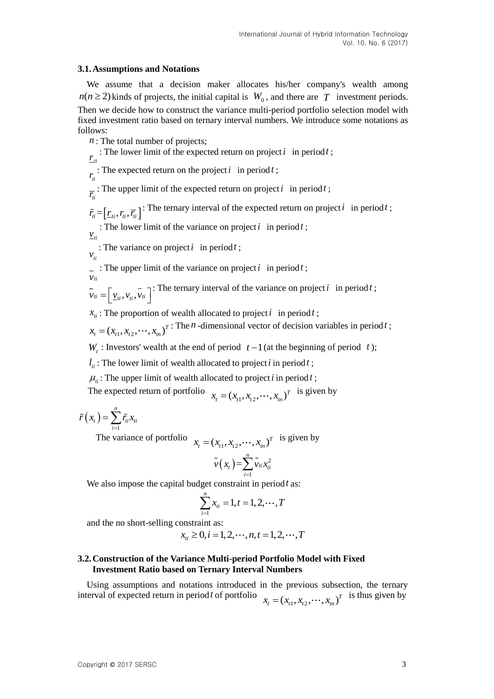### **3.1.Assumptions and Notations**

We assume that a decision maker allocates his/her company's wealth among  $n(n \ge 2)$  kinds of projects, the initial capital is  $W_0$ , and there are T investment periods. Then we decide how to construct the variance multi-period portfolio selection model with fixed investment ratio based on ternary interval numbers. We introduce some notations as follows:

*n* : The total number of projects;

 $r_{\scriptscriptstyle{ti}}$ : The lower limit of the expected return on project  $i$  in period  $t$ ; *ti r* : The expected return on the project  $i$  in period  $t$ ;  $\overline{r_i}$ : The upper limit of the expected return on project *i* in period *t*;

 $\tilde{r}_i = \left[r_i, r_i, \overline{r}_i\right]$ : The ternary interval of the expected return on project *i* in period *t*;

 $v_{\rm \scriptscriptstyle th}$ : The lower limit of the variance on project  $i$  in period  $t$ ;

 $v_{ti}$ : The variance on project *i* in period *t* ;

: The upper limit of the variance on project  $i$  in period  $t$ ;

*vti*  $\tilde{\mathbf{v}}_{ti} = \left[\underline{v}_{ti}, \overline{v}_{ti}, \overline{v}_{ti}\right]$ : The ternary interval of the variance on project *i* in period *t*;

 $x_{\text{r}}$ : The proportion of wealth allocated to project *i* in period *t*;

 $x_{t} = (x_{t1}, x_{t2}, \dots, x_{tn})^{T}$ : The *n*-dimensional vector of decision variables in period *t*;

 $W_t$ : Investors' wealth at the end of period  $t-1$  (at the beginning of period  $t$ );

 $l_{ii}$ : The lower limit of wealth allocated to project *i* in period *t*;

 $\mu$ <sub>*i*</sub>: The upper limit of wealth allocated to project *i* in period *t*;

The expected return of portfolio  $x_i = (x_{i1}, x_{i2}, \dots, x_{in})^T$  is given by

 $(x_t)$ 1 *n*  $t_f$   $\int$   $\int$   $\int$   $\int$   $\frac{1}{t}$   $\frac{\lambda}{t}$   $\frac{1}{t}$ *i*  $\tilde{r}(x_i) = \sum \tilde{r_i} x_i$  $=\sum_{i=1}$ 

The variance of portfolio  $x_t = (x_{t1}, x_{t2}, \dots, x_{tn})^T$  is given by

$$
\tilde{\nu}\left(x_{t}\right) = \sum_{i=1}^{n} \tilde{\nu}_{ti} x_{ti}^{2}
$$

We also impose the capital budget constraint in period *t* as:

$$
\sum_{i=1}^{n} x_{ti} = 1, t = 1, 2, \cdots, T
$$

and the no short-selling constraint as:  

$$
x_{ii} \ge 0, i = 1, 2, \cdots, n, t = 1, 2, \cdots, T
$$

### **3.2.Construction of the Variance Multi-period Portfolio Model with Fixed Investment Ratio based on Ternary Interval Numbers**

Using assumptions and notations introduced in the previous subsection, the ternary interval of expected return in period *t* of portfolio  $x_t = (x_{t1}, x_{t2}, \dots, x_{tn})^T$  is thus given by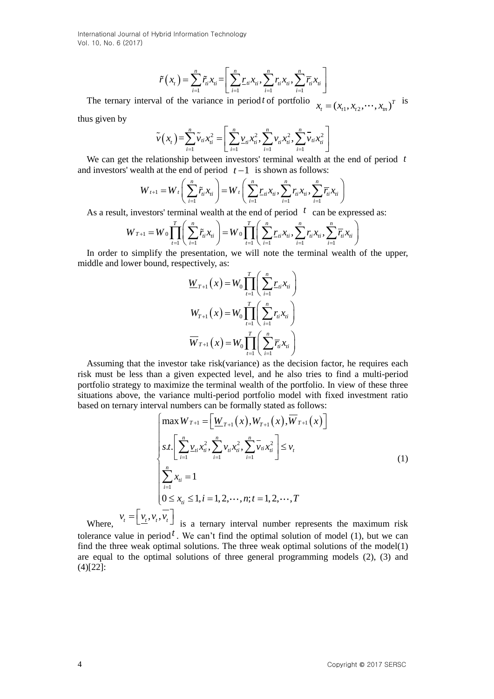$$
\widetilde{r}(x_t) = \sum_{i=1}^n \widetilde{r}_{ti} x_{ti} = \left[ \sum_{i=1}^n \underline{r}_{ti} x_{ti}, \sum_{i=1}^n r_{ti} x_{ti}, \sum_{i=1}^n \overline{r}_{ti} x_{ti} \right]
$$

The ternary interval of the variance in period *t* of portfolio  $x_t = (x_{t1}, x_{t2}, \dots, x_m)^T$  is

thus given by

$$
\widetilde{\nu}(x_t) = \sum_{i=1}^n \widetilde{\nu}_{ti} x_{ti}^2 = \left[ \sum_{i=1}^n \underline{\nu}_{ti} x_{ti}^2, \sum_{i=1}^n \nu_{ti} x_{ti}^2, \sum_{i=1}^n \overline{\nu}_{ti} x_{ti}^2 \right]
$$

ip between investors terminal wealth at the end of p<br>and of period  $t-1$  is shown as follows:<br> $\left(\sum_{i=1}^{n} \tilde{r}_{i}x_{i}\right) = W_{t}\left(\sum_{i=1}^{n} r_{i}x_{i}\right), \sum_{i=1}^{n} r_{i}x_{i}\right)$ 

We can get the relationship between investors' terminal wealth at the end of period *t* and investors' wealth at the end of period 
$$
t-1
$$
 is shown as follows:  
\n
$$
W_{t+1} = W_t \left( \sum_{i=1}^n \tilde{r}_{ti} x_{ti} \right) = W_t \left( \sum_{i=1}^n \underline{r}_{ti} x_{ti}, \sum_{i=1}^n \overline{r}_{ti} x_{ti}, \sum_{i=1}^n \overline{r}_{ti} x_{ti} \right)
$$

$$
W_{t+1} = W_t \Big[ \sum_{i=1} r_{ii} x_{ti} \Big] = W_t \Big[ \sum_{i=1} r_{ii} x_{ti}, \sum_{i=1} r_{ii} x_{ti}, \sum_{i=1} r_{ii} x_{ti} \Big]
$$
  
As a result, investors' terminal wealth at the end of period  $t$  can be expressed as:  

$$
W_{T+1} = W_0 \prod_{t=1}^T \Big( \sum_{i=1}^n \tilde{r}_{ii} x_{ti} \Big) = W_0 \prod_{t=1}^T \Big( \sum_{i=1}^n r_{ii} x_{ti}, \sum_{i=1}^n r_{ii} x_{ti}, \sum_{i=1}^n \overline{r}_{ii} x_{ti} \Big)
$$

In order to simplify the presentation, we will note the terminal wealth of the upper, middle and lower bound, respectively, as:

$$
\underline{W}_{T+1}(x) = W_0 \prod_{t=1}^T \left( \sum_{i=1}^n \underline{r}_{ti} x_{ti} \right)
$$

$$
W_{T+1}(x) = W_0 \prod_{t=1}^T \left( \sum_{i=1}^n r_{ti} x_{ti} \right)
$$

$$
\overline{W}_{T+1}(x) = W_0 \prod_{t=1}^T \left( \sum_{i=1}^n \overline{r}_{ti} x_{ti} \right)
$$

Assuming that the investor take risk(variance) as the decision factor, he requires each risk must be less than a given expected level, and he also [tries](http://www.baidu.com/link?url=mLn3C78xJmx1Zng5wYCLkzacrn4sJ5_OSTh5abK_VmDlhNtmLy2s1nkLy9XBsbDI3kjdnuTdgxlV9ttDnyMhn8Inxp_npRLoQQR1RUqeqkW) to find a multi-period portfolio strategy to maximize the terminal wealth of the portfolio. In view of these three situations above, the variance multi-period portfolio model with fixed investment ratio

$$
\vec{r}(x_{i}) = \sum_{i=1}^{\infty} \vec{r}_{i}x_{n} = \sum_{i=1}^{\infty} \vec{r}_{i}x_{n} \cdot \sum_{i=1}^{\infty} \vec{r}_{i}x_{n} \cdot \sum_{i=1}^{\infty} \vec{r}_{i}x_{n} \cdot \sum_{i=1}^{\infty} \vec{r}_{i}x_{n} \cdot \sum_{i=1}^{\infty} \vec{r}_{i}x_{n} \cdot \sum_{i=1}^{\infty} \vec{r}_{i}x_{n} \cdot \sum_{i=1}^{\infty} \vec{r}_{i}x_{n} \cdot \sum_{i=1}^{\infty} \vec{r}_{i}x_{n} \cdot \sum_{i=1}^{\infty} \vec{r}_{i}x_{n} \cdot \sum_{i=1}^{\infty} \vec{r}_{i}x_{n} \cdot \sum_{i=1}^{\infty} \vec{r}_{i}x_{n} \cdot \sum_{i=1}^{\infty} \vec{r}_{i}x_{n} \cdot \sum_{i=1}^{\infty} \vec{r}_{i}x_{n} \cdot \sum_{i=1}^{\infty} \vec{r}_{i}x_{n} \cdot \sum_{i=1}^{\infty} \vec{r}_{i}x_{n} \cdot \sum_{i=1}^{\infty} \vec{r}_{i}x_{n} \cdot \sum_{i=1}^{\infty} \vec{r}_{i}x_{n} \cdot \sum_{i=1}^{\infty} \vec{r}_{i}x_{n} \cdot \sum_{i=1}^{\infty} \vec{r}_{i}x_{n} \cdot \sum_{i=1}^{\infty} \vec{r}_{i}x_{n} \cdot \sum_{i=1}^{\infty} \vec{r}_{i}x_{n} \cdot \sum_{i=1}^{\infty} \vec{r}_{i}x_{n} \cdot \sum_{i=1}^{\infty} \vec{r}_{i}x_{n} \cdot \sum_{i=1}^{\infty} \vec{r}_{i}x_{n} \cdot \sum_{i=1}^{\infty} \vec{r}_{i}x_{n} \cdot \sum_{i=1}^{\infty} \vec{r}_{i}x_{n} \cdot \sum_{i=1}^{\infty} \vec{r}_{i}x_{n} \cdot \sum_{i=1}^{\infty} \vec{r}_{i}x_{n} \cdot \sum_{i=1}^{\infty} \vec{r}_{i}x_{n} \cdot \
$$

Where,  $v_t = v_t$  $\frac{1}{1}$  is a ternary interval number represents the maximum risk tolerance value in period<sup> $t$ </sup>. We can't find the optimal solution of model (1), but we can find the three weak optimal solutions. The three weak optimal solutions of the model(1) are equal to the optimal solutions of three general programming models (2), (3) and (4)[22]: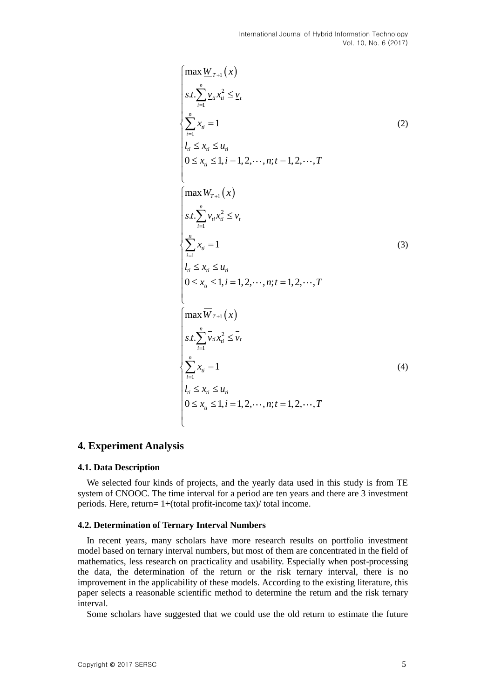$$
\begin{cases}\n\max \underline{W}_{T+1}(x) \\
s.t. \sum_{i=1}^{n} \underline{v}_{ii} x_{ii}^{2} \leq \underline{v}_{t} \\
\sum_{i=1}^{n} x_{ii} = 1 \\
l_{ii} \leq x_{ii} \leq u_{ii} \\
0 \leq x_{ii} \leq 1, i = 1, 2, \dots, n; t = 1, 2, \dots, T \\
\max \underline{W}_{T+1}(x) \\
s.t. \sum_{i=1}^{n} v_{ii} x_{ii}^{2} \leq v_{t} \\
\sum_{i=1}^{n} x_{ii} = 1 \\
l_{ii} \leq x_{ii} \leq u_{ii} \\
0 \leq x_{ii} \leq 1, i = 1, 2, \dots, n; t = 1, 2, \dots, T \\
\max \overline{W}_{T+1}(x) \\
s.t. \sum_{i=1}^{n} \overline{v}_{ii} x_{ii}^{2} \leq \overline{v}_{t} \\
\sum_{i=1}^{n} x_{ii} = 1 \\
l_{ii} \leq x_{ii} \leq u_{ii} \\
l_{ii} \leq x_{ii} \leq u_{ii} \\
0 \leq x_{ii} \leq 1, i = 1, 2, \dots, n; t = 1, 2, \dots, T\n\end{cases}
$$
\n(4)

### **4. Experiment Analysis**

#### **4.1. Data Description**

We selected four kinds of projects, and the yearly data used in this study is from TE system of CNOOC. The time interval for a period are ten years and there are 3 investment periods. Here, return= 1+(total profit-income tax)/ total income.

### **4.2. Determination of Ternary Interval Numbers**

In recent years, many scholars have more research results on portfolio investment model based on ternary interval numbers, but most of them are concentrated in the field of mathematics, less research on practicality and usability. Especially when post-processing the data, the determination of the return or the risk ternary interval, there is no improvement in the applicability of these models. According to the existing literature, this paper selects a reasonable scientific method to determine the return and the risk ternary interval.

Some scholars have suggested that we could use the old return to estimate the future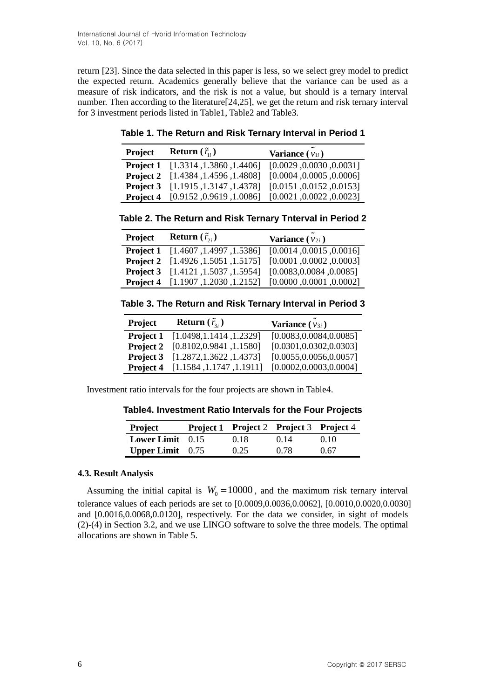return [23]. Since the data selected in this paper is less, so we select grey model to predict the expected return. Academics generally believe that the variance can be used as a measure of risk indicators, and the risk is not a value, but should is a ternary interval number. Then according to the literature[24,25], we get the return and risk ternary interval for 3 investment periods listed in Table1, Table2 and Table3.

**Table 1. The Return and Risk Ternary Interval in Period 1**

| Project          | <b>Return</b> $(\tilde{r}_{i})$           | Variance $(v_{1i})$      |
|------------------|-------------------------------------------|--------------------------|
|                  | <b>Project 1</b> [1.3314, 1.3860, 1.4406] | [0.0029, 0.0030, 0.0031] |
|                  | Project 2 [1.4384, 1.4596, 1.4808]        | [0.0004, 0.0005, 0.0000] |
| <b>Project 3</b> | [1.1915, 1.3147, 1.4378]                  | [0.0151, 0.0152, 0.0153] |
| Project 4        | [0.9152, 0.9619, 1.0086]                  | [0.0021, 0.0022, 0.0023] |

**Table 2. The Return and Risk Ternary Tnterval in Period 2**

| Project   | <b>Return</b> $(\tilde{r}_{2i})$          | Variance $(v_{2i})$      |
|-----------|-------------------------------------------|--------------------------|
|           | Project 1 [1.4607, 1.4997, 1.5386]        | [0.0014, 0.0015, 0.0016] |
|           | <b>Project 2</b> [1.4926, 1.5051, 1.5175] | [0.0001, 0.0002, 0.0003] |
|           | Project 3 [1.4121, 1.5037, 1.5954]        | [0.0083, 0.0084, 0.0085] |
| Project 4 | [1.1907, 1.2030, 1.2152]                  | [0.0000, 0.0001, 0.0002] |

**Table 3. The Return and Risk Ternary Interval in Period 3**

| [0.0083, 0.0084, 0.0085]<br>[1.0498, 1.1414, 1.2329]<br><b>Project 1</b><br>[0.0301, 0.0302, 0.0303]<br>[0.8102, 0.9841, 1.1580]<br><b>Project 2</b> | <b>Project</b> | <b>Return</b> $(\tilde{r}_{3i})$ | Variance $(v_{3i})$ |
|------------------------------------------------------------------------------------------------------------------------------------------------------|----------------|----------------------------------|---------------------|
|                                                                                                                                                      |                |                                  |                     |
|                                                                                                                                                      |                |                                  |                     |
| [0.0055, 0.0056, 0.0057]<br>[1.2872, 1.3622, 1.4373]<br>Project 3                                                                                    |                |                                  |                     |
| [0.0002, 0.0003, 0.0004]<br>[1.1584, 1.1747, 1.1911]<br>Project 4                                                                                    |                |                                  |                     |

Investment ratio intervals for the four projects are shown in Table4.

**Table4. Investment Ratio Intervals for the Four Projects**

| Project                   | Project 1 Project 2 Project 3 Project 4 |      |      |
|---------------------------|-----------------------------------------|------|------|
| <b>Lower Limit</b> $0.15$ | 0.18                                    | 0.14 | 0.10 |
| <b>Upper Limit</b> $0.75$ | 0.25                                    | 0.78 | 0.67 |

### **4.3. Result Analysis**

Assuming the initial capital is  $W_0 = 10000$ , and the maximum risk ternary interval tolerance values of each periods are set to [0.0009,0.0036,0.0062], [0.0010,0.0020,0.0030] and [0.0016,0.0068,0.0120], respectively. For the data we consider, in sight of models (2)-(4) in Section 3.2, and we use LINGO software to solve the three models. The optimal allocations are shown in Table 5.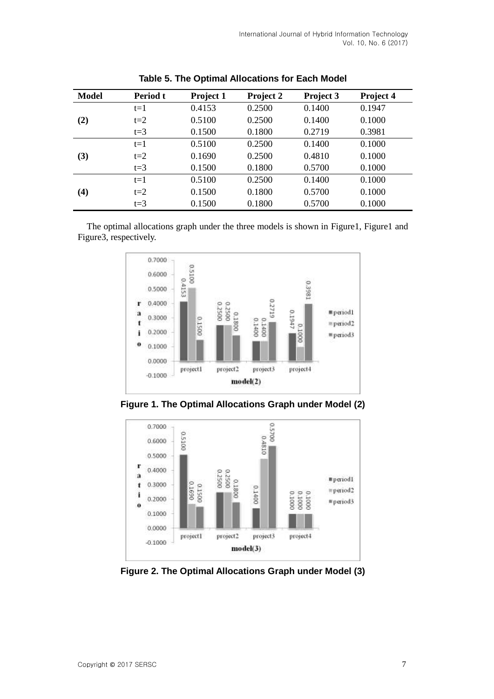| Model    | Period t | Project 1 | Project 2 | Project 3 | Project 4 |
|----------|----------|-----------|-----------|-----------|-----------|
|          | $t=1$    | 0.4153    | 0.2500    | 0.1400    | 0.1947    |
| (2)      | $t=2$    | 0.5100    | 0.2500    | 0.1400    | 0.1000    |
|          | $t=3$    | 0.1500    | 0.1800    | 0.2719    | 0.3981    |
|          | $t=1$    | 0.5100    | 0.2500    | 0.1400    | 0.1000    |
| (3)      | $t=2$    | 0.1690    | 0.2500    | 0.4810    | 0.1000    |
|          | $t=3$    | 0.1500    | 0.1800    | 0.5700    | 0.1000    |
|          | $t=1$    | 0.5100    | 0.2500    | 0.1400    | 0.1000    |
| $\bf(4)$ | $t=2$    | 0.1500    | 0.1800    | 0.5700    | 0.1000    |
|          | $t=3$    | 0.1500    | 0.1800    | 0.5700    | 0.1000    |

**Table 5. The Optimal Allocations for Each Model**

The optimal allocations graph under the three models is shown in Figure1, Figure1 and Figure3, respectively.



**Figure 1. The Optimal Allocations Graph under Model (2)**



**Figure 2. The Optimal Allocations Graph under Model (3)**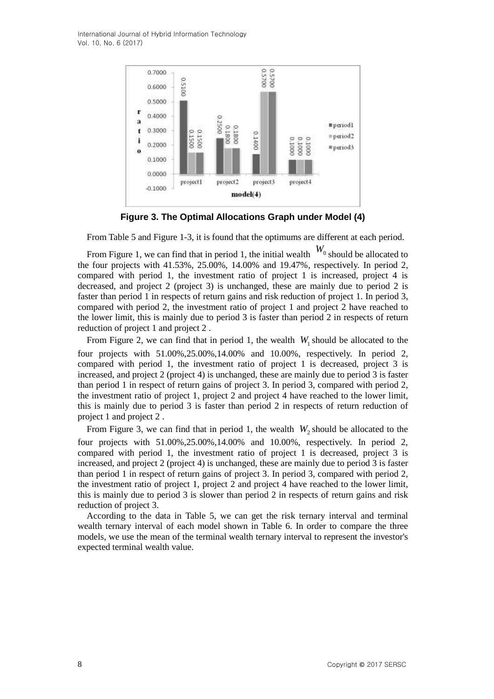

**Figure 3. The Optimal Allocations Graph under Model (4)**

From Table 5 and Figure 1-3, it is found that the optimums are different at each period.

From Figure 1, we can find that in period 1, the initial wealth  $W_0$  should be allocated to the four projects with 41.53%, 25.00%, 14.00% and 19.47%, respectively. In period 2, compared with period 1, the investment ratio of project 1 is increased, project 4 is decreased, and project 2 (project 3) is unchanged, these are mainly due to period 2 is faster than period 1 in respects of return gains and risk reduction of project 1. In period 3, compared with period 2, the investment ratio of project 1 and project 2 have reached to the lower limit, this is mainly due to period 3 is faster than period 2 in respects of return reduction of project 1 and project 2 .

From Figure 2, we can find that in period 1, the wealth  $W_1$  should be allocated to the four projects with 51.00%,25.00%,14.00% and 10.00%, respectively. In period 2, compared with period 1, the investment ratio of project 1 is decreased, project 3 is increased, and project 2 (project 4) is unchanged, these are mainly due to period 3 is faster than period 1 in respect of return gains of project 3. In period 3, compared with period 2, the investment ratio of project 1, project 2 and project 4 have reached to the lower limit, this is mainly due to period 3 is faster than period 2 in respects of return reduction of project 1 and project 2 .

From Figure 3, we can find that in period 1, the wealth  $W_2$  should be allocated to the four projects with 51.00%,25.00%,14.00% and 10.00%, respectively. In period 2, compared with period 1, the investment ratio of project 1 is decreased, project 3 is increased, and project 2 (project 4) is unchanged, these are mainly due to period 3 is faster than period 1 in respect of return gains of project 3. In period 3, compared with period 2, the investment ratio of project 1, project 2 and project 4 have reached to the lower limit, this is mainly due to period 3 is slower than period 2 in respects of return gains and risk reduction of project 3.

According to the data in Table 5, we can get the risk ternary interval and terminal wealth ternary interval of each model shown in Table 6. In order to compare the three models, we use the mean of the terminal wealth ternary interval to represent the investor's expected terminal wealth value.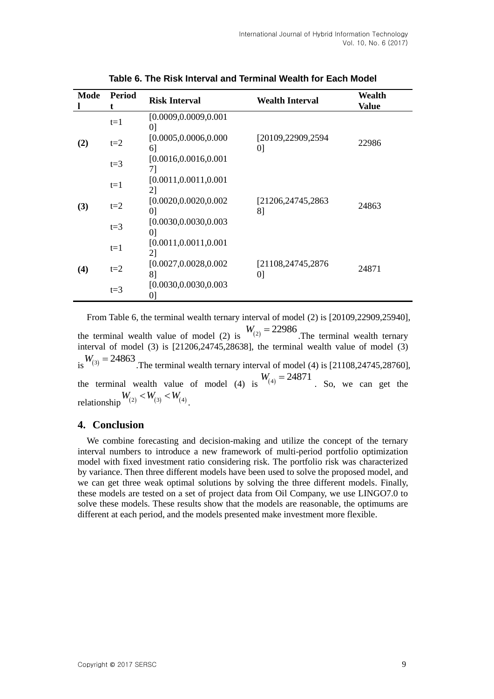| Mode | <b>Period</b><br>t | <b>Risk Interval</b>          | <b>Wealth Interval</b>    | Wealth<br>Value |
|------|--------------------|-------------------------------|---------------------------|-----------------|
| (2)  | $t=1$              | [0.0009, 0.0009, 0.001]<br>01 |                           |                 |
|      | $t=2$              | [0.0005, 0.0006, 0.000]<br>6  | [20109,22909,2594]<br>[0] | 22986           |
|      | $t=3$              | [0.0016, 0.0016, 0.001]<br>71 |                           |                 |
| (3)  | $t=1$              | [0.0011, 0.0011, 0.001]<br>2] |                           |                 |
|      | $t=2$              | [0.0020, 0.0020, 0.002]<br>01 | [21206,24745,2863]<br>8]  | 24863           |
|      | $t=3$              | [0.0030, 0.0030, 0.003]<br>01 |                           |                 |
| (4)  | $t=1$              | [0.0011, 0.0011, 0.001]<br>2] |                           |                 |
|      | $t=2$              | [0.0027, 0.0028, 0.002]<br>81 | [21108,24745,2876]<br>[0] | 24871           |
|      | $t=3$              | [0.0030, 0.0030, 0.003]<br>0] |                           |                 |

**Table 6. The Risk Interval and Terminal Wealth for Each Model**

From Table 6, the terminal wealth ternary interval of model (2) is [20109,22909,25940], the terminal wealth value of model (2) is  $W_{(2)} = 22986$ . The terminal wealth ternary interval of model (3) is [21206,24745,28638], the terminal wealth value of model (3)  $W_{(3)} = 24863$ . The terminal wealth ternary interval of model (4) is [21108,24745,28760], the terminal wealth value of model (4) is  $W_{(4)} = 24871$ . So, we can get the relationship  $W_{(2)} < W_{(3)} < W_{(4)}$ .

### **4. Conclusion**

We combine forecasting and decision-making and utilize the concept of the ternary interval numbers to introduce a new framework of multi-period portfolio optimization model with fixed investment ratio considering risk. The portfolio risk was characterized by variance. Then three different models have been used to solve the proposed model, and we can get three weak optimal solutions by solving the three different models. Finally, these models are tested on a set of project data from Oil Company, we use LINGO7.0 to solve these models. These results show that the models are reasonable, the optimums are different at each period, and the models presented make investment more flexible.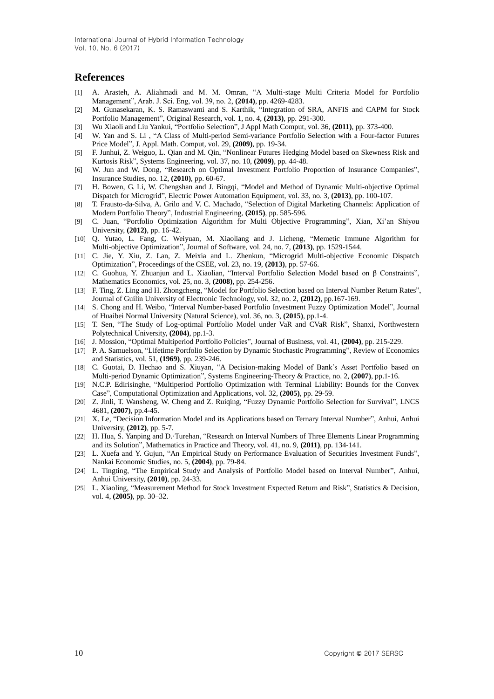### **References**

- [1] A. Arasteh, A. Aliahmadi and M. M. Omran, "A Multi-stage Multi Criteria Model for Portfolio Management", Arab. J. Sci. Eng, vol. 39, no. 2, **(2014)**, pp. 4269-4283.
- [2] M. Gunasekaran, K. S. Ramaswami and S. Karthik, "Integration of SRA, ANFIS and CAPM for Stock Portfolio Management", Original Research, vol. 1, no. 4, **(2013)**, pp. 291-300.
- [3] Wu Xiaoli and Liu Yankui, "Portfolio Selection", J Appl Math Comput, vol. 36, **(2011)**, pp. 373-400.
- [4] W. Yan and S. Li , "A Class of Multi-period Semi-variance Portfolio Selection with a Four-factor Futures Price Model", J. Appl. Math. Comput, vol. 29, **(2009)**, pp. 19-34.
- [5] F. Junhui, Z. Weiguo, L. Qian and M. Qin, "Nonlinear Futures Hedging Model based on Skewness Risk and Kurtosis Risk", Systems Engineering, vol. 37, no. 10, **(2009)**, pp. 44-48.
- [6] W. Jun and W. Dong, "Research on Optimal Investment Portfolio Proportion of Insurance Companies", Insurance Studies, no. 12, **(2010)**, pp. 60-67.
- [7] H. Bowen, G. Li, W. Chengshan and J. Bingqi, "Model and Method of Dynamic Multi-objective Optimal Dispatch for Microgrid", Electric Power Automation Equipment, vol. 33, no. 3, **(2013)**, pp. 100-107.
- [8] T. Frausto-da-Silva, A. Grilo and V. C. Machado, "Selection of Digital Marketing Channels: Application of Modern Portfolio Theory", Industrial Engineering, **(2015)**, pp. 585-596.
- [9] C. Juan, "Portfolio Optimization Algorithm for Multi Objective Programming", Xian, Xi'an Shiyou University, **(2012)**, pp. 16-42.
- [10] Q. Yutao, L. Fang, C. Weiyuan, M. Xiaoliang and J. Licheng, "Memetic Immune Algorithm for Multi-objective Optimization", Journal of Software, vol. 24, no. 7, **(2013)**, pp. 1529-1544.
- [11] C. Jie, Y. Xiu, Z. Lan, Z. Meixia and L. Zhenkun, "Microgrid Multi-objective Economic Dispatch Optimization", Proceedings of the CSEE, vol. 23, no. 19, **(2013)**, pp. 57-66.
- [12] C. Guohua, Y. Zhuanjun and L. Xiaolian, "Interval Portfolio Selection Model based on β Constraints", Mathematics Economics, vol. 25, no. 3, **(2008)**, pp. 254-256.
- [13] F. Ting, Z. Ling and H. Zhongcheng, "Model for Portfolio Selection based on Interval Number Return Rates", Journal of Guilin University of Electronic Technology, vol. 32, no. 2, **(2012)**, pp.167-169.
- [14] S. Chong and H. Weibo, "Interval Number-based Portfolio Investment Fuzzy Optimization Model", Journal of Huaibei Normal University (Natural Science), vol. 36, no. 3, **(2015)**, pp.1-4.
- [15] T. Sen, "The Study of Log-optimal Portfolio Model under VaR and CVaR Risk", Shanxi, Northwestern Polytechnical University, **(2004)**, pp.1-3.
- [16] J. Mossion, "Optimal Multiperiod Portfolio Policies", Journal of Business, vol. 41, **(2004)**, pp. 215-229.
- [17] P. A. Samuelson, "Lifetime Portfolio Selection by Dynamic Stochastic Programming", Review of Economics and Statistics, vol. 51, **(1969)**, pp. 239-246.
- [18] C. Guotai, D. Hechao and S. Xiuyan, "A Decision-making Model of Bank's Asset Portfolio based on Multi-period Dynamic Optimization", Systems Engineering-Theory & Practice, no. 2, **(2007)**, pp.1-16.
- [19] N.C.P. Edirisinghe, "Multiperiod Portfolio Optimization with Terminal Liability: Bounds for the Convex Case", Computational Optimization and Applications, vol. 32, **(2005)**, pp. 29-59.
- [20] Z. Jinli, T. Wansheng, W. Cheng and Z. Ruiqing, "Fuzzy Dynamic Portfolio Selection for Survival", LNCS 4681, **(2007)**, pp.4-45.
- [21] X. Le, "Decision Information Model and its Applications based on Ternary Interval Number", Anhui, Anhui University, **(2012)**, pp. 5-7.
- [22] H. Hua, S. Yanping and D.·Turehan, "Research on Interval Numbers of Three Elements Linear Programming and its Solution", Mathematics in Practice and Theory, vol. 41, no. 9, **(2011)**, pp. 134-141.
- [23] L. Xuefa and Y. Gujun, "An Empirical Study on Performance Evaluation of Securities Investment Funds", Nankai Economic Studies, no. 5, **(2004)**, pp. 79-84.
- [24] L. Tingting, "The Empirical Study and Analysis of Portfolio Model based on Interval Number", Anhui, Anhui University, **(2010)**, pp. 24-33.
- [25] L. Xiaoling, "Measurement Method for Stock Investment Expected Return and Risk", Statistics & Decision, vol. 4, **(2005)**, pp. 30–32.